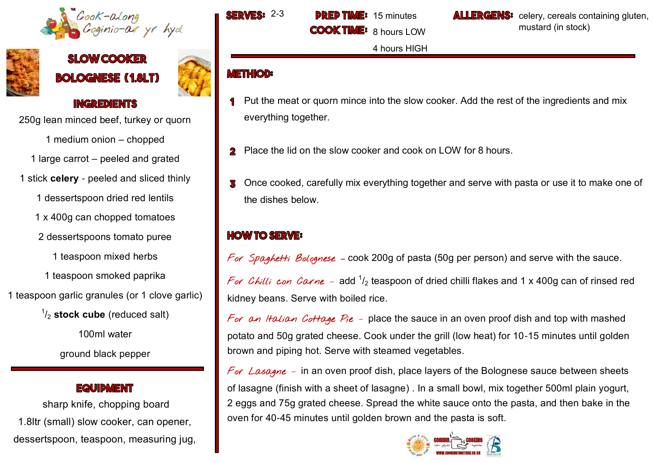



**SLOW COOKER BOLOGNESE (1.8LT)** 



#### **INGREDIENTS**

250g lean minced beef, turkey or quorn

1 medium onion – chopped

1 large carrot – peeled and grated

1 stick **celery** - peeled and sliced thinly

1 dessertspoon dried red lentils

1 x 400g can chopped tomatoes

2 dessertspoons tomato puree

1 teaspoon mixed herbs

1 teaspoon smoked paprika

1 teaspoon garlic granules (or 1 clove garlic)

1 /<sup>2</sup> **stock cube** (reduced salt)

100ml water

ground black pepper

### **EQUIDMENT**

sharp knife, chopping board 1.8ltr (small) slow cooker, can opener, dessertspoon, teaspoon, measuring jug,

**METHIOD:** 



**COOK TI** 

**ALLERGENS:** celery, cereals containing gluten, mustard (in stock)

Put the meat or quorn mince into the slow cooker. Add the rest of the ingredients and mix everything together.

8 hours LOW

4 hours HIGH

- 2 Place the lid on the slow cooker and cook on LOW for 8 hours.
- Once cooked, carefully mix everything together and serve with pasta or use it to make one of 3 the dishes below.

## **HOW TO SERVE:**

For Spaghetti Bolognese - cook 200g of pasta (50g per person) and serve with the sauce. *For Chilli con Corne* – add  $^1\!/_2$  teaspoon of dried chilli flakes and 1 x 400g can of rinsed red kidney beans. Serve with boiled rice.

For an Italian Cottage Pie - place the sauce in an oven proof dish and top with mashed potato and 50g grated cheese. Cook under the grill (low heat) for 10-15 minutes until golden brown and piping hot. Serve with steamed vegetables.

For Lasagne - in an oven proof dish, place layers of the Bolognese sauce between sheets of lasagne (finish with a sheet of lasagne) . In a small bowl, mix together 500ml plain yogurt, 2 eggs and 75g grated cheese. Spread the white sauce onto the pasta, and then bake in the oven for 40-45 minutes until golden brown and the pasta is soft.